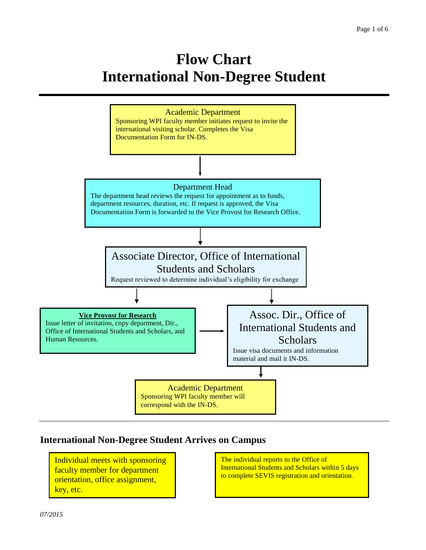# **Flow Chart International Non-Degree Student**



#### **International Non-Degree Student Arrives on Campus**

Individual meets with sponsoring faculty member for department orientation, office assignment, key, etc.

The individual reports to the Office of International Students and Scholars within 5 days to complete SEVIS registration and orientation.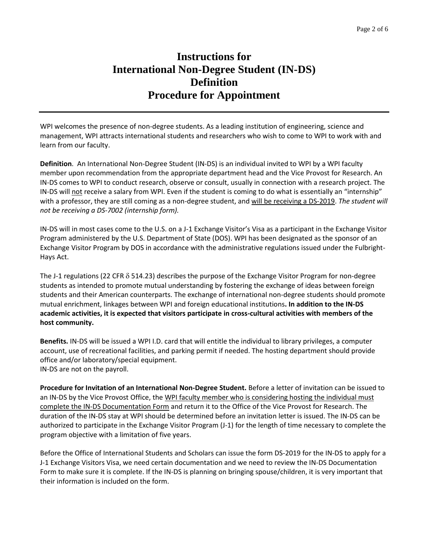### **Instructions for International Non-Degree Student (IN-DS) Definition Procedure for Appointment**

WPI welcomes the presence of non-degree students. As a leading institution of engineering, science and management, WPI attracts international students and researchers who wish to come to WPI to work with and learn from our faculty.

**Definition**. An International Non-Degree Student (IN-DS) is an individual invited to WPI by a WPI faculty member upon recommendation from the appropriate department head and the Vice Provost for Research. An IN-DS comes to WPI to conduct research, observe or consult, usually in connection with a research project. The IN-DS will not receive a salary from WPI. Even if the student is coming to do what is essentially an "internship" with a professor, they are still coming as a non-degree student, and will be receiving a DS-2019. *The student will not be receiving a DS-7002 (internship form).*

IN-DS will in most cases come to the U.S. on a J-1 Exchange Visitor's Visa as a participant in the Exchange Visitor Program administered by the U.S. Department of State (DOS). WPI has been designated as the sponsor of an Exchange Visitor Program by DOS in accordance with the administrative regulations issued under the Fulbright-Hays Act.

The J-1 regulations (22 CFR  $\delta$  514.23) describes the purpose of the Exchange Visitor Program for non-degree students as intended to promote mutual understanding by fostering the exchange of ideas between foreign students and their American counterparts. The exchange of international non-degree students should promote mutual enrichment, linkages between WPI and foreign educational institutions**. In addition to the IN-DS academic activities, it is expected that visitors participate in cross-cultural activities with members of the host community.**

**Benefits.** IN-DS will be issued a WPI I.D. card that will entitle the individual to library privileges, a computer account, use of recreational facilities, and parking permit if needed. The hosting department should provide office and/or laboratory/special equipment. IN-DS are not on the payroll.

**Procedure for Invitation of an International Non-Degree Student.** Before a letter of invitation can be issued to an IN-DS by the Vice Provost Office, the WPI faculty member who is considering hosting the individual must complete the IN-DS Documentation Form and return it to the Office of the Vice Provost for Research. The duration of the IN-DS stay at WPI should be determined before an invitation letter is issued. The IN-DS can be authorized to participate in the Exchange Visitor Program (J-1) for the length of time necessary to complete the program objective with a limitation of five years.

Before the Office of International Students and Scholars can issue the form DS-2019 for the IN-DS to apply for a J-1 Exchange Visitors Visa, we need certain documentation and we need to review the IN-DS Documentation Form to make sure it is complete. If the IN-DS is planning on bringing spouse/children, it is very important that their information is included on the form.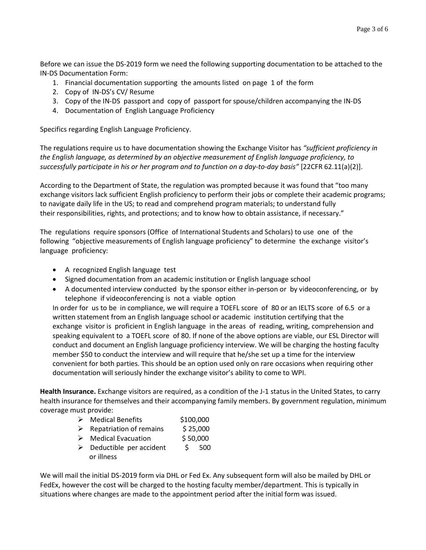Before we can issue the DS-2019 form we need the following supporting documentation to be attached to the IN-DS Documentation Form:

- 1. Financial documentation supporting the amounts listed on page 1 of the form
- 2. Copy of IN-DS's CV/ Resume
- 3. Copy of the IN-DS passport and copy of passport for spouse/children accompanying the IN-DS
- 4. Documentation of English Language Proficiency

Specifics regarding English Language Proficiency.

The regulations require us to have documentation showing the Exchange Visitor has *"sufficient proficiency in the English language, as determined by an objective measurement of English language proficiency, to successfully participate in his or her program and to function on a day-to-day basis"* [22CFR 62.11(a)(2)].

According to the Department of State, the regulation was prompted because it was found that "too many exchange visitors lack sufficient English proficiency to perform their jobs or complete their academic programs; to navigate daily life in the US; to read and comprehend program materials; to understand fully their responsibilities, rights, and protections; and to know how to obtain assistance, if necessary."

The regulations require sponsors (Office of International Students and Scholars) to use one of the following "objective measurements of English language proficiency" to determine the exchange visitor's language proficiency:

- A recognized English language test
- Signed documentation from an academic institution or English language school
- A documented interview conducted by the sponsor either in-person or by videoconferencing, or by telephone if videoconferencing is not a viable option

In order for us to be in compliance, we will require a TOEFL score of 80 or an IELTS score of 6.5 or a written statement from an English language school or academic institution certifying that the exchange visitor is proficient in English language in the areas of reading, writing, comprehension and speaking equivalent to a TOEFL score of 80. If none of the above options are viable, our ESL Director will conduct and document an English language proficiency interview. We will be charging the hosting faculty member \$50 to conduct the interview and will require that he/she set up a time for the interview convenient for both parties. This should be an option used only on rare occasions when requiring other documentation will seriously hinder the exchange visitor's ability to come to WPI.

**Health Insurance.** Exchange visitors are required, as a condition of the J-1 status in the United States, to carry health insurance for themselves and their accompanying family members. By government regulation, minimum coverage must provide:

- ▶ Medical Benefits \$100,000
- $\triangleright$  Repatriation of remains \$ 25,000
- $\triangleright$  Medical Evacuation \$ 50,000
- $\triangleright$  Deductible per accident  $\triangleright$  500 or illness

We will mail the initial DS-2019 form via DHL or Fed Ex. Any subsequent form will also be mailed by DHL or FedEx, however the cost will be charged to the hosting faculty member/department. This is typically in situations where changes are made to the appointment period after the initial form was issued.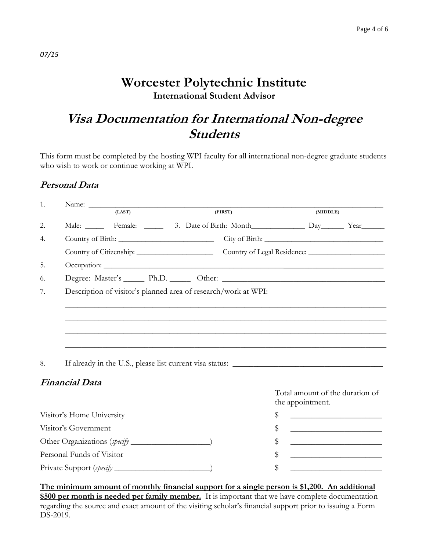## **Worcester Polytechnic Institute International Student Advisor**

## **Visa Documentation for International Non-degree Students**

This form must be completed by the hosting WPI faculty for all international non-degree graduate students who wish to work or continue working at WPI.

#### **Personal Data**

| 1.                        |                           |                                                                |                                                    |  |                                                        |          |  |  |  |
|---------------------------|---------------------------|----------------------------------------------------------------|----------------------------------------------------|--|--------------------------------------------------------|----------|--|--|--|
|                           |                           |                                                                | (LAST)<br>(FIRST)                                  |  |                                                        | (MIDDLE) |  |  |  |
| 2.                        |                           |                                                                | Male: Female: 3. Date of Birth: Month Day Day Year |  |                                                        |          |  |  |  |
| 4.                        |                           |                                                                |                                                    |  |                                                        |          |  |  |  |
|                           |                           |                                                                |                                                    |  |                                                        |          |  |  |  |
| 5.                        |                           |                                                                |                                                    |  |                                                        |          |  |  |  |
| 6.                        |                           |                                                                |                                                    |  |                                                        |          |  |  |  |
| 7.                        |                           | Description of visitor's planned area of research/work at WPI: |                                                    |  |                                                        |          |  |  |  |
|                           |                           |                                                                |                                                    |  |                                                        |          |  |  |  |
|                           |                           |                                                                |                                                    |  |                                                        |          |  |  |  |
|                           |                           |                                                                |                                                    |  |                                                        |          |  |  |  |
|                           |                           |                                                                |                                                    |  |                                                        |          |  |  |  |
| 8.                        |                           |                                                                |                                                    |  |                                                        |          |  |  |  |
|                           | <b>Financial Data</b>     |                                                                |                                                    |  |                                                        |          |  |  |  |
|                           |                           |                                                                |                                                    |  | Total amount of the duration of                        |          |  |  |  |
|                           |                           |                                                                |                                                    |  | the appointment.                                       |          |  |  |  |
|                           | Visitor's Home University |                                                                | \$                                                 |  |                                                        |          |  |  |  |
|                           | Visitor's Government      |                                                                | \$                                                 |  | <u> 1980 - Jan Barnett, fransk politiker (d. 1980)</u> |          |  |  |  |
|                           |                           |                                                                | \$                                                 |  |                                                        |          |  |  |  |
| Personal Funds of Visitor |                           |                                                                |                                                    |  |                                                        |          |  |  |  |
|                           |                           |                                                                | \$                                                 |  |                                                        |          |  |  |  |
|                           |                           |                                                                |                                                    |  |                                                        |          |  |  |  |

**The minimum amount of monthly financial support for a single person is \$1,200. An additional \$500 per month is needed per family member.** It is important that we have complete documentation regarding the source and exact amount of the visiting scholar's financial support prior to issuing a Form DS-2019.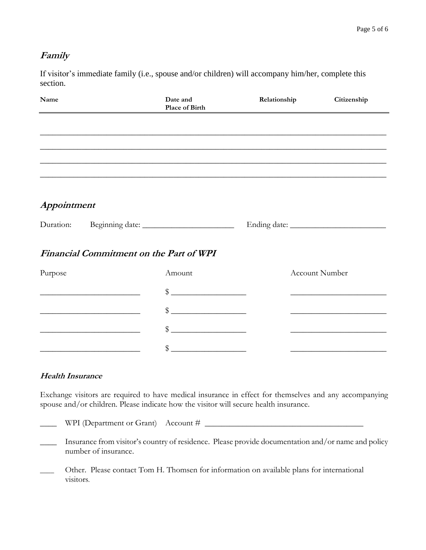#### **Family**

If visitor's immediate family (i.e., spouse and/or children) will accompany him/her, complete this section.

| Name        |                                                                                           | Date and<br>Place of Birth | Relationship | Citizenship           |
|-------------|-------------------------------------------------------------------------------------------|----------------------------|--------------|-----------------------|
|             |                                                                                           |                            |              |                       |
|             |                                                                                           |                            |              |                       |
|             |                                                                                           |                            |              |                       |
|             |                                                                                           |                            |              |                       |
| Appointment |                                                                                           |                            |              |                       |
|             |                                                                                           |                            |              |                       |
|             | <b>Financial Commitment on the Part of WPI</b>                                            |                            |              |                       |
| Purpose     |                                                                                           | Amount                     |              | <b>Account Number</b> |
|             |                                                                                           | $\frac{1}{2}$              |              |                       |
|             |                                                                                           | $\frac{1}{2}$              |              |                       |
|             | the control of the control of the control of the control of the control of the control of |                            |              |                       |
|             |                                                                                           | \$                         |              |                       |

#### **Health Insurance**

Exchange visitors are required to have medical insurance in effect for themselves and any accompanying spouse and/or children. Please indicate how the visitor will secure health insurance.

 $\Box$  WPI (Department or Grant) Account #  $\Box$ 

- \_\_\_\_ Insurance from visitor's country of residence. Please provide documentation and/or name and policy number of insurance.
- Other. Please contact Tom H. Thomsen for information on available plans for international visitors.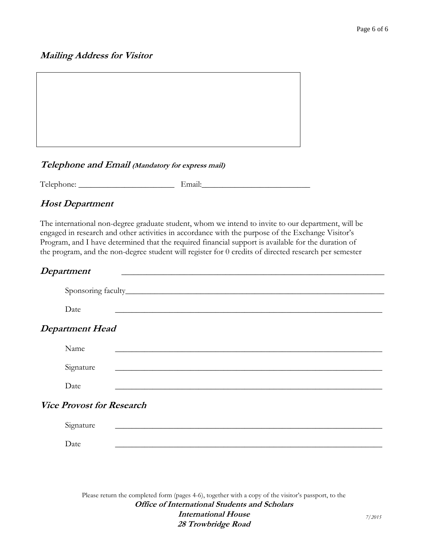#### **Mailing Address for Visitor**



#### **Telephone and Email (Mandatory for express mail)**

Telephone: \_\_\_\_\_\_\_\_\_\_\_\_\_\_\_\_\_\_\_\_\_\_\_ Email:\_\_\_\_\_\_\_\_\_\_\_\_\_\_\_\_\_\_\_\_\_\_\_\_\_\_

#### **Host Department**

The international non-degree graduate student, whom we intend to invite to our department, will be engaged in research and other activities in accordance with the purpose of the Exchange Visitor's Program, and I have determined that the required financial support is available for the duration of the program, and the non-degree student will register for 0 credits of directed research per semester

#### $Department$

| Date                             | and the control of the control of the control of the control of the control of the control of the control of the                                                                                                                     |  |  |  |  |
|----------------------------------|--------------------------------------------------------------------------------------------------------------------------------------------------------------------------------------------------------------------------------------|--|--|--|--|
| <b>Department Head</b>           |                                                                                                                                                                                                                                      |  |  |  |  |
| Name                             | <u>a sa barang sa mga barang sa mga barang sa mga barang sa mga barang sa mga barang sa mga barang sa mga barang sa mga barang sa mga barang sa mga barang sa mga barang sa mga barang sa mga barang sa mga barang sa mga barang</u> |  |  |  |  |
| Signature                        |                                                                                                                                                                                                                                      |  |  |  |  |
| Date                             |                                                                                                                                                                                                                                      |  |  |  |  |
| <b>Vice Provost for Research</b> |                                                                                                                                                                                                                                      |  |  |  |  |
| Signature                        |                                                                                                                                                                                                                                      |  |  |  |  |
| Date                             |                                                                                                                                                                                                                                      |  |  |  |  |
|                                  |                                                                                                                                                                                                                                      |  |  |  |  |

Please return the completed form (pages 4-6), together with a copy of the visitor's passport, to the **Office of International Students and Scholars International House 28 Trowbridge Road**